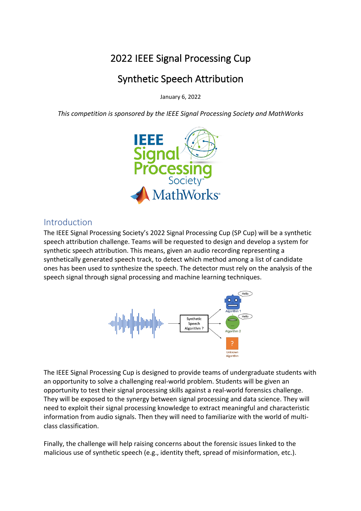# 2022 IEEE Signal Processing Cup

# Synthetic Speech Attribution

January 6, 2022

*This competition is sponsored by the IEEE Signal Processing Society and MathWorks*



### Introduction

The IEEE Signal Processing Society's 2022 Signal Processing Cup (SP Cup) will be a synthetic speech attribution challenge. Teams will be requested to design and develop a system for synthetic speech attribution. This means, given an audio recording representing a synthetically generated speech track, to detect which method among a list of candidate ones has been used to synthesize the speech. The detector must rely on the analysis of the speech signal through signal processing and machine learning techniques.



The IEEE Signal Processing Cup is designed to provide teams of undergraduate students with an opportunity to solve a challenging real-world problem. Students will be given an opportunity to test their signal processing skills against a real-world forensics challenge. They will be exposed to the synergy between signal processing and data science. They will need to exploit their signal processing knowledge to extract meaningful and characteristic information from audio signals. Then they will need to familiarize with the world of multiclass classification.

Finally, the challenge will help raising concerns about the forensic issues linked to the malicious use of synthetic speech (e.g., identity theft, spread of misinformation, etc.).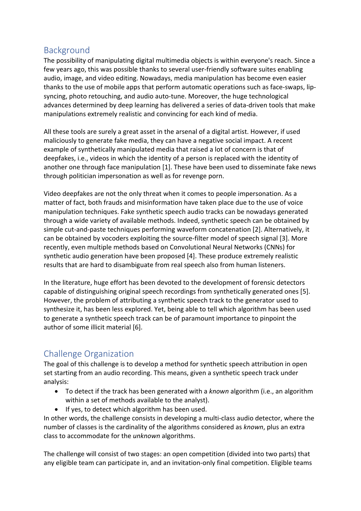### Background

The possibility of manipulating digital multimedia objects is within everyone's reach. Since a few years ago, this was possible thanks to several user-friendly software suites enabling audio, image, and video editing. Nowadays, media manipulation has become even easier thanks to the use of mobile apps that perform automatic operations such as face-swaps, lipsyncing, photo retouching, and audio auto-tune. Moreover, the huge technological advances determined by deep learning has delivered a series of data-driven tools that make manipulations extremely realistic and convincing for each kind of media.

All these tools are surely a great asset in the arsenal of a digital artist. However, if used maliciously to generate fake media, they can have a negative social impact. A recent example of synthetically manipulated media that raised a lot of concern is that of deepfakes, i.e., videos in which the identity of a person is replaced with the identity of another one through face manipulation [1]. These have been used to disseminate fake news through politician impersonation as well as for revenge porn.

Video deepfakes are not the only threat when it comes to people impersonation. As a matter of fact, both frauds and misinformation have taken place due to the use of voice manipulation techniques. Fake synthetic speech audio tracks can be nowadays generated through a wide variety of available methods. Indeed, synthetic speech can be obtained by simple cut-and-paste techniques performing waveform concatenation [2]. Alternatively, it can be obtained by vocoders exploiting the source-filter model of speech signal [3]. More recently, even multiple methods based on Convolutional Neural Networks (CNNs) for synthetic audio generation have been proposed [4]. These produce extremely realistic results that are hard to disambiguate from real speech also from human listeners.

In the literature, huge effort has been devoted to the development of forensic detectors capable of distinguishing original speech recordings from synthetically generated ones [5]. However, the problem of attributing a synthetic speech track to the generator used to synthesize it, has been less explored. Yet, being able to tell which algorithm has been used to generate a synthetic speech track can be of paramount importance to pinpoint the author of some illicit material [6].

## Challenge Organization

The goal of this challenge is to develop a method for synthetic speech attribution in open set starting from an audio recording. This means, given a synthetic speech track under analysis:

- To detect if the track has been generated with a *known* algorithm (i.e., an algorithm within a set of methods available to the analyst).
- If yes, to detect which algorithm has been used.

In other words, the challenge consists in developing a multi-class audio detector, where the number of classes is the cardinality of the algorithms considered as *known*, plus an extra class to accommodate for the *unknown* algorithms.

The challenge will consist of two stages: an open competition (divided into two parts) that any eligible team can participate in, and an invitation-only final competition. Eligible teams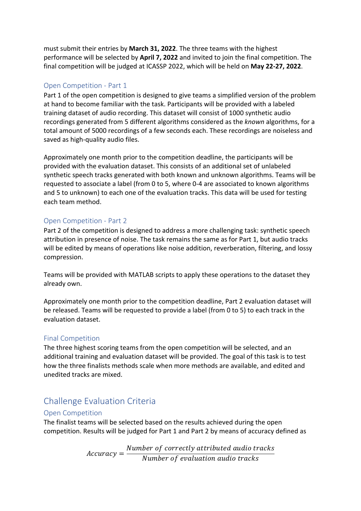must submit their entries by **March 31, 2022**. The three teams with the highest performance will be selected by **April 7, 2022** and invited to join the final competition. The final competition will be judged at ICASSP 2022, which will be held on **May 22-27, 2022**.

#### Open Competition - Part 1

Part 1 of the open competition is designed to give teams a simplified version of the problem at hand to become familiar with the task. Participants will be provided with a labeled training dataset of audio recording. This dataset will consist of 1000 synthetic audio recordings generated from 5 different algorithms considered as the *known* algorithms, for a total amount of 5000 recordings of a few seconds each. These recordings are noiseless and saved as high-quality audio files.

Approximately one month prior to the competition deadline, the participants will be provided with the evaluation dataset. This consists of an additional set of unlabeled synthetic speech tracks generated with both known and unknown algorithms. Teams will be requested to associate a label (from 0 to 5, where 0-4 are associated to known algorithms and 5 to unknown) to each one of the evaluation tracks. This data will be used for testing each team method.

#### Open Competition - Part 2

Part 2 of the competition is designed to address a more challenging task: synthetic speech attribution in presence of noise. The task remains the same as for Part 1, but audio tracks will be edited by means of operations like noise addition, reverberation, filtering, and lossy compression.

Teams will be provided with MATLAB scripts to apply these operations to the dataset they already own.

Approximately one month prior to the competition deadline, Part 2 evaluation dataset will be released. Teams will be requested to provide a label (from 0 to 5) to each track in the evaluation dataset.

#### Final Competition

The three highest scoring teams from the open competition will be selected, and an additional training and evaluation dataset will be provided. The goal of this task is to test how the three finalists methods scale when more methods are available, and edited and unedited tracks are mixed.

# Challenge Evaluation Criteria

#### Open Competition

The finalist teams will be selected based on the results achieved during the open competition. Results will be judged for Part 1 and Part 2 by means of accuracy defined as

 $Accuracy = \frac{Number\ of\ correctly\ attributed\ audio\ tracks}{Number\ of\ evaluation\ audio\ tracks}$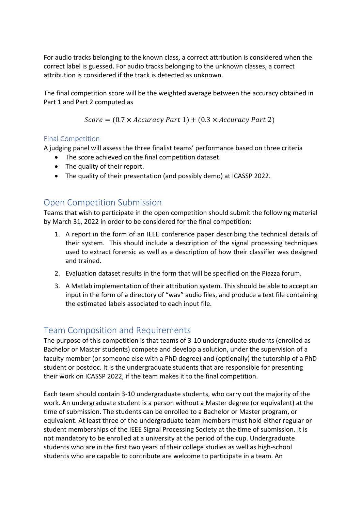For audio tracks belonging to the known class, a correct attribution is considered when the correct label is guessed. For audio tracks belonging to the unknown classes, a correct attribution is considered if the track is detected as unknown.

The final competition score will be the weighted average between the accuracy obtained in Part 1 and Part 2 computed as

$$
Score = (0.7 \times Accuracy Part 1) + (0.3 \times Accuracy Part 2)
$$

#### Final Competition

A judging panel will assess the three finalist teams' performance based on three criteria

- The score achieved on the final competition dataset.
- The quality of their report.
- The quality of their presentation (and possibly demo) at ICASSP 2022.

## Open Competition Submission

Teams that wish to participate in the open competition should submit the following material by March 31, 2022 in order to be considered for the final competition:

- 1. A report in the form of an IEEE conference paper describing the technical details of their system. This should include a description of the signal processing techniques used to extract forensic as well as a description of how their classifier was designed and trained.
- 2. Evaluation dataset results in the form that will be specified on the Piazza forum.
- 3. A Matlab implementation of their attribution system. This should be able to accept an input in the form of a directory of "wav" audio files, and produce a text file containing the estimated labels associated to each input file.

## Team Composition and Requirements

The purpose of this competition is that teams of 3-10 undergraduate students (enrolled as Bachelor or Master students) compete and develop a solution, under the supervision of a faculty member (or someone else with a PhD degree) and (optionally) the tutorship of a PhD student or postdoc. It is the undergraduate students that are responsible for presenting their work on ICASSP 2022, if the team makes it to the final competition.

Each team should contain 3-10 undergraduate students, who carry out the majority of the work. An undergraduate student is a person without a Master degree (or equivalent) at the time of submission. The students can be enrolled to a Bachelor or Master program, or equivalent. At least three of the undergraduate team members must hold either regular or student memberships of the IEEE Signal Processing Society at the time of submission. It is not mandatory to be enrolled at a university at the period of the cup. Undergraduate students who are in the first two years of their college studies as well as high-school students who are capable to contribute are welcome to participate in a team. An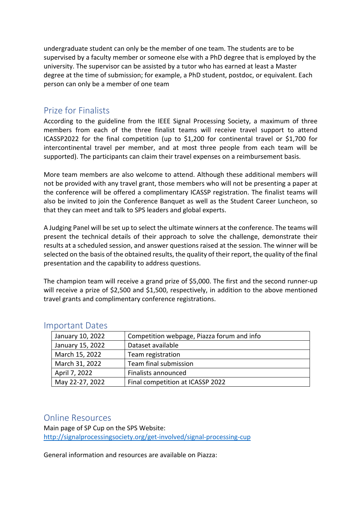undergraduate student can only be the member of one team. The students are to be supervised by a faculty member or someone else with a PhD degree that is employed by the university. The supervisor can be assisted by a tutor who has earned at least a Master degree at the time of submission; for example, a PhD student, postdoc, or equivalent. Each person can only be a member of one team

### Prize for Finalists

According to the guideline from the IEEE Signal Processing Society, a maximum of three members from each of the three finalist teams will receive travel support to attend ICASSP2022 for the final competition (up to \$1,200 for continental travel or \$1,700 for intercontinental travel per member, and at most three people from each team will be supported). The participants can claim their travel expenses on a reimbursement basis.

More team members are also welcome to attend. Although these additional members will not be provided with any travel grant, those members who will not be presenting a paper at the conference will be offered a complimentary ICASSP registration. The finalist teams will also be invited to join the Conference Banquet as well as the Student Career Luncheon, so that they can meet and talk to SPS leaders and global experts.

A Judging Panel will be set up to select the ultimate winners at the conference. The teams will present the technical details of their approach to solve the challenge, demonstrate their results at a scheduled session, and answer questions raised at the session. The winner will be selected on the basis of the obtained results, the quality of their report, the quality of the final presentation and the capability to address questions.

The champion team will receive a grand prize of \$5,000. The first and the second runner-up will receive a prize of \$2,500 and \$1,500, respectively, in addition to the above mentioned travel grants and complimentary conference registrations.

| January 10, 2022 | Competition webpage, Piazza forum and info |
|------------------|--------------------------------------------|
| January 15, 2022 | Dataset available                          |
| March 15, 2022   | Team registration                          |
| March 31, 2022   | Team final submission                      |
| April 7, 2022    | Finalists announced                        |
| May 22-27, 2022  | Final competition at ICASSP 2022           |

#### Important Dates

#### Online Resources

Main page of SP Cup on the SPS Website: http://signalprocessingsociety.org/get-involved/signal-processing-cup

General information and resources are available on Piazza: